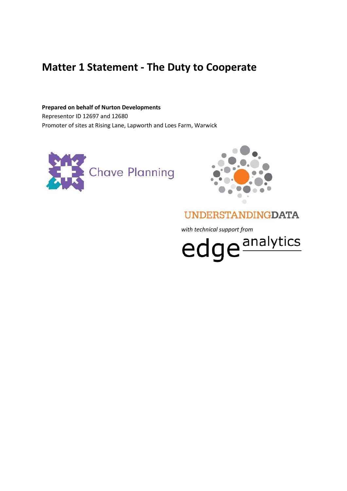# **Matter 1 Statement - The Duty to Cooperate**

**Prepared on behalf of Nurton Developments** Representor ID 12697 and 12680 Promoter of sites at Rising Lane, Lapworth and Loes Farm, Warwick





## **UNDERSTANDINGDATA**

with technical support from<br>
edge<sup>analytics</sup>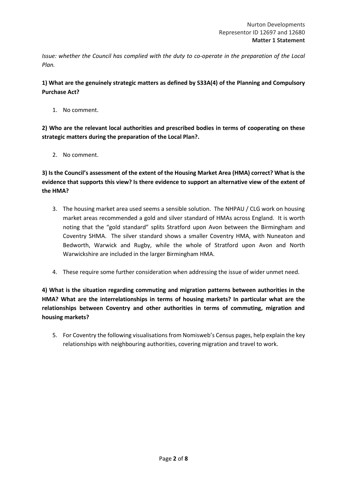*Issue: whether the Council has complied with the duty to co-operate in the preparation of the Local Plan.*

**1) What are the genuinely strategic matters as defined by S33A(4) of the Planning and Compulsory Purchase Act?**

1. No comment.

**2) Who are the relevant local authorities and prescribed bodies in terms of cooperating on these strategic matters during the preparation of the Local Plan?.** 

2. No comment.

**3) Is the Council's assessment of the extent of the Housing Market Area (HMA) correct? What is the evidence that supports this view? Is there evidence to support an alternative view of the extent of the HMA?**

- 3. The housing market area used seems a sensible solution. The NHPAU / CLG work on housing market areas recommended a gold and silver standard of HMAs across England. It is worth noting that the "gold standard" splits Stratford upon Avon between the Birmingham and Coventry SHMA. The silver standard shows a smaller Coventry HMA, with Nuneaton and Bedworth, Warwick and Rugby, while the whole of Stratford upon Avon and North Warwickshire are included in the larger Birmingham HMA.
- 4. These require some further consideration when addressing the issue of wider unmet need.

**4) What is the situation regarding commuting and migration patterns between authorities in the HMA? What are the interrelationships in terms of housing markets? In particular what are the relationships between Coventry and other authorities in terms of commuting, migration and housing markets?**

5. For Coventry the following visualisations from Nomisweb's Census pages, help explain the key relationships with neighbouring authorities, covering migration and travel to work.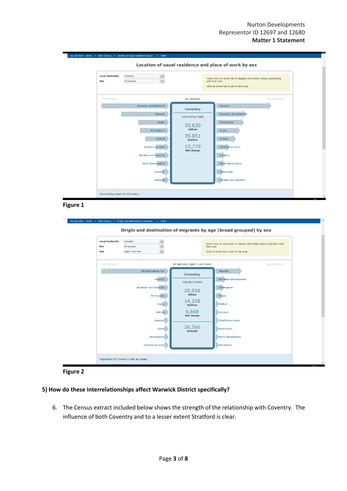

**Figure 1**

| <b>Local Authority</b><br>Sex<br>Age | $\overline{\phantom{a}}$<br>Coventry<br>$\overline{\mathbf{v}}$<br>All persons<br>$\overline{\mathbf{v}}$<br>Aged 1 and over                                |                                                                                                                           | Hover over an arrow bar to display information about migration with<br>that area.<br>Click an arrow bar to pin to the area.                             |
|--------------------------------------|-------------------------------------------------------------------------------------------------------------------------------------------------------------|---------------------------------------------------------------------------------------------------------------------------|---------------------------------------------------------------------------------------------------------------------------------------------------------|
| Top inflows                          |                                                                                                                                                             | All persons aged 1 and over                                                                                               | Top outflows                                                                                                                                            |
|                                      | Abroad (outside UK)<br>Warwick<br>Nuneaton and Bedworth<br>Birmingham<br><b>Rugby</b><br>Solihull<br>Leicester<br>Leeds<br>Northampton<br>Stratford-on-Avon | <b>Coventry</b><br>migration totals<br>20,926<br>Inflow<br>14,258<br>Outflow<br>6,668<br>Net change<br>26,566<br>Internal | Warwick<br>Nuneaton and Bedworth<br>Birmingham<br>Rugby<br>Solihull<br>Leicester<br>Stratford-on-Avon<br>Nottingham<br>North Warwickshire<br>Manchester |



#### **5) How do these interrelationships affect Warwick District specifically?**

6. The Census extract included below shows the strength of the relationship with Coventry. The influence of both Coventry and to a lesser extent Stratford is clear.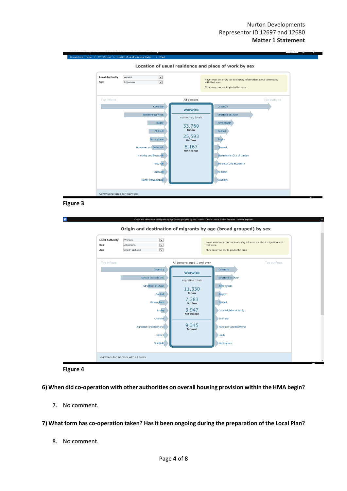| <b>Local Authority</b><br>Sex | $\vee$<br>Warwick<br>$\overline{\mathsf{v}}$<br>All persons                                                                                                                    |                                                                                                    | Hover over an arrow bar to display information about commuting<br>with that area.<br>Click an arrow bar to pin to the area.                                  |
|-------------------------------|--------------------------------------------------------------------------------------------------------------------------------------------------------------------------------|----------------------------------------------------------------------------------------------------|--------------------------------------------------------------------------------------------------------------------------------------------------------------|
| Top inflows                   |                                                                                                                                                                                | All persons                                                                                        | Top outflows                                                                                                                                                 |
|                               | Coventry<br>Stratford-on-Avon<br>Rugby<br>Solihull<br>Birmingham<br><b>Nuneaton and Bedworth</b><br><b>Hinckley and Bosworth</b><br>Redditch<br>Cherwell<br>North Warwickshire | <b>Warwick</b><br>commuting totals<br>33,760<br>Inflow<br>25,593<br>Outflow<br>8,167<br>Net change | Coventry<br>Stratford-on-Avon<br>Birmingham<br>Solihull<br>Rugby<br>Cherwell<br>Westminster, City of London<br>Nuneaton and Bedworth<br>Redditch<br>Daventry |



| Sex<br>Age  | $\overline{\mathbf{v}}$<br>Warwick<br>$\overline{\phantom{a}}$<br>All persons<br>$\overline{\mathbf{v}}$<br>Aged 1 and over                                |                                                                                                                          | Hover over an arrow bar to display information about migration with<br>that area.<br>Click an arrow bar to pin to the area.                                       |
|-------------|------------------------------------------------------------------------------------------------------------------------------------------------------------|--------------------------------------------------------------------------------------------------------------------------|-------------------------------------------------------------------------------------------------------------------------------------------------------------------|
| Top inflows |                                                                                                                                                            | All persons aged 1 and over                                                                                              | Top outflows                                                                                                                                                      |
|             | Coventry<br>Abroad (outside UK)<br>Stratford-on-Avon<br>Solihull<br>Birmingham<br>Rugby<br>Cherwell<br><b>Nuneaton and Bedworth</b><br>Oxford<br>Sheffield | <b>Warwick</b><br>migration totals<br>11,330<br>Inflow<br>$7,383$<br>outflow<br>3,947<br>Net change<br>9,345<br>Internal | Coventry<br><b>Stratford-on-Avon</b><br>Birmingham<br>Rugby<br>Solihull<br>Cornwall, Isles of Scilly<br>Sheffield<br>Nuneaton and Bedworth<br>Leeds<br>Nottingham |



**6) When did co-operation with other authorities on overall housing provision within the HMA begin?**

7. No comment.

**7) What form has co-operation taken? Has it been ongoing during the preparation of the Local Plan?**

8. No comment.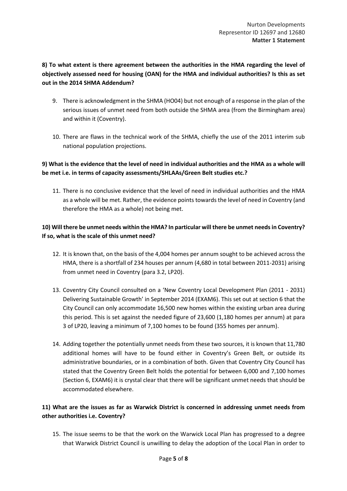## **8) To what extent is there agreement between the authorities in the HMA regarding the level of objectively assessed need for housing (OAN) for the HMA and individual authorities? Is this as set out in the 2014 SHMA Addendum?**

- 9. There is acknowledgment in the SHMA (HO04) but not enough of a response in the plan of the serious issues of unmet need from both outside the SHMA area (from the Birmingham area) and within it (Coventry).
- 10. There are flaws in the technical work of the SHMA, chiefly the use of the 2011 interim sub national population projections.

#### **9) What is the evidence that the level of need in individual authorities and the HMA as a whole will be met i.e. in terms of capacity assessments/SHLAAs/Green Belt studies etc.?**

11. There is no conclusive evidence that the level of need in individual authorities and the HMA as a whole will be met. Rather, the evidence points towards the level of need in Coventry (and therefore the HMA as a whole) not being met.

#### **10) Will there be unmet needs within the HMA? In particular will there be unmet needs in Coventry? If so, what is the scale of this unmet need?**

- 12. It is known that, on the basis of the 4,004 homes per annum sought to be achieved across the HMA, there is a shortfall of 234 houses per annum (4,680 in total between 2011-2031) arising from unmet need in Coventry (para 3.2, LP20).
- 13. Coventry City Council consulted on a 'New Coventry Local Development Plan (2011 2031) Delivering Sustainable Growth' in September 2014 (EXAM6). This set out at section 6 that the City Council can only accommodate 16,500 new homes within the existing urban area during this period. This is set against the needed figure of 23,600 (1,180 homes per annum) at para 3 of LP20, leaving a minimum of 7,100 homes to be found (355 homes per annum).
- 14. Adding together the potentially unmet needs from these two sources, it is known that 11,780 additional homes will have to be found either in Coventry's Green Belt, or outside its administrative boundaries, or in a combination of both. Given that Coventry City Council has stated that the Coventry Green Belt holds the potential for between 6,000 and 7,100 homes (Section 6, EXAM6) it is crystal clear that there will be significant unmet needs that should be accommodated elsewhere.

## **11) What are the issues as far as Warwick District is concerned in addressing unmet needs from other authorities i.e. Coventry?**

15. The issue seems to be that the work on the Warwick Local Plan has progressed to a degree that Warwick District Council is unwilling to delay the adoption of the Local Plan in order to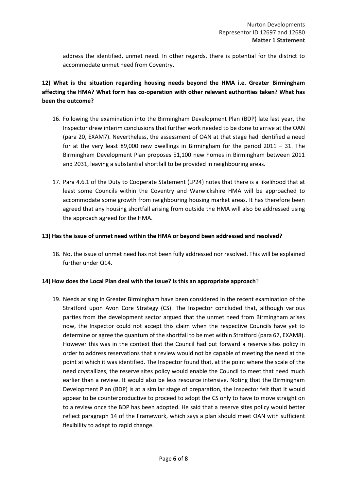address the identified, unmet need. In other regards, there is potential for the district to accommodate unmet need from Coventry.

## **12) What is the situation regarding housing needs beyond the HMA i.e. Greater Birmingham affecting the HMA? What form has co-operation with other relevant authorities taken? What has been the outcome?**

- 16. Following the examination into the Birmingham Development Plan (BDP) late last year, the Inspector drew interim conclusions that further work needed to be done to arrive at the OAN (para 20, EXAM7). Nevertheless, the assessment of OAN at that stage had identified a need for at the very least 89,000 new dwellings in Birmingham for the period 2011 – 31. The Birmingham Development Plan proposes 51,100 new homes in Birmingham between 2011 and 2031, leaving a substantial shortfall to be provided in neighbouring areas.
- 17. Para 4.6.1 of the Duty to Cooperate Statement (LP24) notes that there is a likelihood that at least some Councils within the Coventry and Warwickshire HMA will be approached to accommodate some growth from neighbouring housing market areas. It has therefore been agreed that any housing shortfall arising from outside the HMA will also be addressed using the approach agreed for the HMA.

#### **13) Has the issue of unmet need within the HMA or beyond been addressed and resolved?**

18. No, the issue of unmet need has not been fully addressed nor resolved. This will be explained further under Q14.

#### **14) How does the Local Plan deal with the issue? Is this an appropriate approach**?

19. Needs arising in Greater Birmingham have been considered in the recent examination of the Stratford upon Avon Core Strategy (CS). The Inspector concluded that, although various parties from the development sector argued that the unmet need from Birmingham arises now, the Inspector could not accept this claim when the respective Councils have yet to determine or agree the quantum of the shortfall to be met within Stratford (para 67, EXAM8). However this was in the context that the Council had put forward a reserve sites policy in order to address reservations that a review would not be capable of meeting the need at the point at which it was identified. The Inspector found that, at the point where the scale of the need crystallizes, the reserve sites policy would enable the Council to meet that need much earlier than a review. It would also be less resource intensive. Noting that the Birmingham Development Plan (BDP) is at a similar stage of preparation, the Inspector felt that it would appear to be counterproductive to proceed to adopt the CS only to have to move straight on to a review once the BDP has been adopted. He said that a reserve sites policy would better reflect paragraph 14 of the Framework, which says a plan should meet OAN with sufficient flexibility to adapt to rapid change.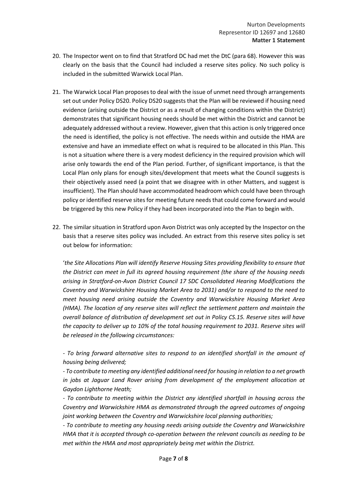- 20. The Inspector went on to find that Stratford DC had met the DtC (para 68). However this was clearly on the basis that the Council had included a reserve sites policy. No such policy is included in the submitted Warwick Local Plan.
- 21. The Warwick Local Plan proposes to deal with the issue of unmet need through arrangements set out under Policy DS20. Policy DS20 suggests that the Plan will be reviewed if housing need evidence (arising outside the District or as a result of changing conditions within the District) demonstrates that significant housing needs should be met within the District and cannot be adequately addressed without a review. However, given that this action is only triggered once the need is identified, the policy is not effective. The needs within and outside the HMA are extensive and have an immediate effect on what is required to be allocated in this Plan. This is not a situation where there is a very modest deficiency in the required provision which will arise only towards the end of the Plan period. Further, of significant importance, is that the Local Plan only plans for enough sites/development that meets what the Council suggests is their objectively assed need (a point that we disagree with in other Matters, and suggest is insufficient). The Plan should have accommodated headroom which could have been through policy or identified reserve sites for meeting future needs that could come forward and would be triggered by this new Policy if they had been incorporated into the Plan to begin with.
- 22. The similar situation in Stratford upon Avon District was only accepted by the Inspector on the basis that a reserve sites policy was included. An extract from this reserve sites policy is set out below for information:

'*the Site Allocations Plan will identify Reserve Housing Sites providing flexibility to ensure that the District can meet in full its agreed housing requirement (the share of the housing needs arising in Stratford-on-Avon District Council 17 SDC Consolidated Hearing Modifications the Coventry and Warwickshire Housing Market Area to 2031) and/or to respond to the need to meet housing need arising outside the Coventry and Warwickshire Housing Market Area (HMA). The location of any reserve sites will reflect the settlement pattern and maintain the overall balance of distribution of development set out in Policy CS.15. Reserve sites will have the capacity to deliver up to 10% of the total housing requirement to 2031. Reserve sites will be released in the following circumstances:* 

*‐ To bring forward alternative sites to respond to an identified shortfall in the amount of housing being delivered;* 

*‐ To contribute to meeting any identified additional need for housing in relation to a net growth in jobs at Jaguar Land Rover arising from development of the employment allocation at Gaydon Lighthorne Heath;* 

*‐ To contribute to meeting within the District any identified shortfall in housing across the Coventry and Warwickshire HMA as demonstrated through the agreed outcomes of ongoing joint working between the Coventry and Warwickshire local planning authorities;* 

*‐ To contribute to meeting any housing needs arising outside the Coventry and Warwickshire HMA that it is accepted through co-operation between the relevant councils as needing to be met within the HMA and most appropriately being met within the District.*